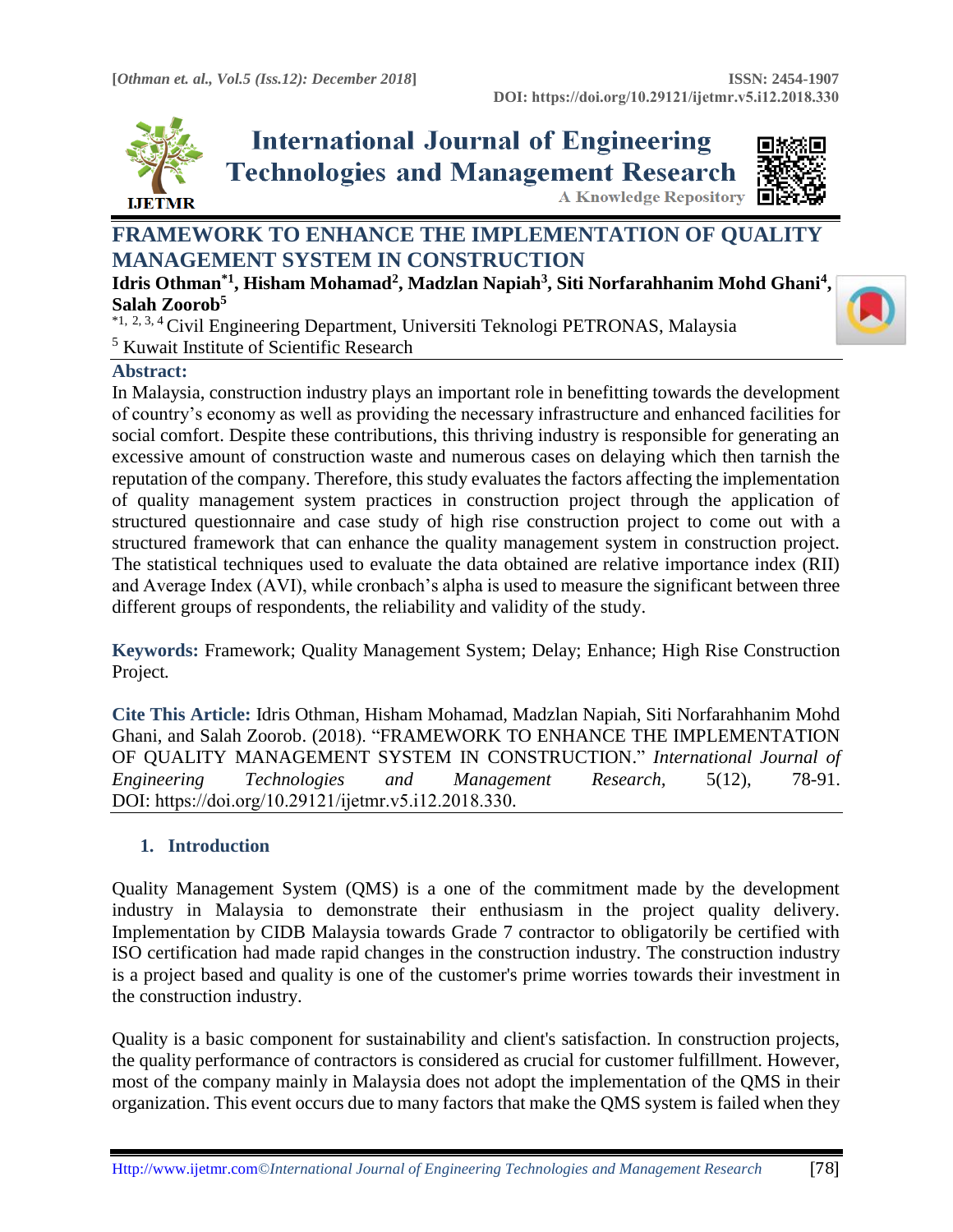**A Knowledge Repository** 



**International Journal of Engineering Technologies and Management Research** 



# **FRAMEWORK TO ENHANCE THE IMPLEMENTATION OF QUALITY MANAGEMENT SYSTEM IN CONSTRUCTION**

**Idris Othman\*1, Hisham Mohamad<sup>2</sup> , Madzlan Napiah<sup>3</sup> , Siti Norfarahhanim Mohd Ghani<sup>4</sup> , Salah Zoorob<sup>5</sup>**

\*1, 2, 3, <sup>4</sup>Civil Engineering Department, Universiti Teknologi PETRONAS, Malaysia <sup>5</sup> Kuwait Institute of Scientific Research

## **Abstract:**

In Malaysia, construction industry plays an important role in benefitting towards the development of country's economy as well as providing the necessary infrastructure and enhanced facilities for social comfort. Despite these contributions, this thriving industry is responsible for generating an excessive amount of construction waste and numerous cases on delaying which then tarnish the reputation of the company. Therefore, this study evaluates the factors affecting the implementation of quality management system practices in construction project through the application of structured questionnaire and case study of high rise construction project to come out with a structured framework that can enhance the quality management system in construction project. The statistical techniques used to evaluate the data obtained are relative importance index (RII) and Average Index (AVI), while cronbach's alpha is used to measure the significant between three different groups of respondents, the reliability and validity of the study.

**Keywords:** Framework; Quality Management System; Delay; Enhance; High Rise Construction Project*.* 

**Cite This Article:** Idris Othman, Hisham Mohamad, Madzlan Napiah, Siti Norfarahhanim Mohd Ghani, and Salah Zoorob. (2018). "FRAMEWORK TO ENHANCE THE IMPLEMENTATION OF QUALITY MANAGEMENT SYSTEM IN CONSTRUCTION." *International Journal of Engineering Technologies and Management Research,* 5(12), 78-91. DOI: https://doi.org/10.29121/ijetmr.v5.i12.2018.330.

# **1. Introduction**

Quality Management System (QMS) is a one of the commitment made by the development industry in Malaysia to demonstrate their enthusiasm in the project quality delivery. Implementation by CIDB Malaysia towards Grade 7 contractor to obligatorily be certified with ISO certification had made rapid changes in the construction industry. The construction industry is a project based and quality is one of the customer's prime worries towards their investment in the construction industry.

Quality is a basic component for sustainability and client's satisfaction. In construction projects, the quality performance of contractors is considered as crucial for customer fulfillment. However, most of the company mainly in Malaysia does not adopt the implementation of the QMS in their organization. This event occurs due to many factors that make the QMS system is failed when they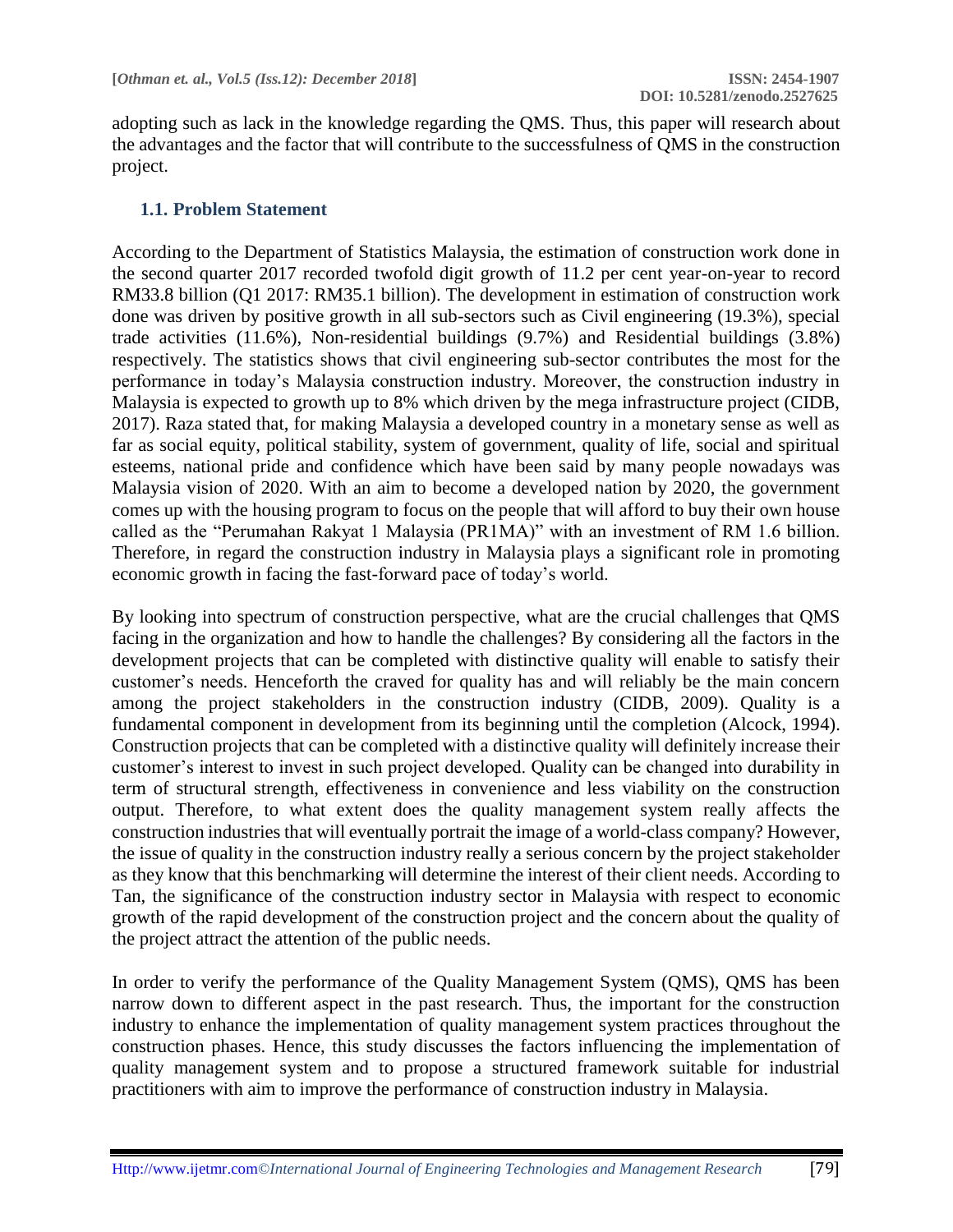adopting such as lack in the knowledge regarding the QMS. Thus, this paper will research about the advantages and the factor that will contribute to the successfulness of QMS in the construction project.

## **1.1. Problem Statement**

According to the Department of Statistics Malaysia, the estimation of construction work done in the second quarter 2017 recorded twofold digit growth of 11.2 per cent year-on-year to record RM33.8 billion (Q1 2017: RM35.1 billion). The development in estimation of construction work done was driven by positive growth in all sub-sectors such as Civil engineering (19.3%), special trade activities (11.6%), Non-residential buildings (9.7%) and Residential buildings (3.8%) respectively. The statistics shows that civil engineering sub-sector contributes the most for the performance in today's Malaysia construction industry. Moreover, the construction industry in Malaysia is expected to growth up to 8% which driven by the mega infrastructure project (CIDB, 2017). Raza stated that, for making Malaysia a developed country in a monetary sense as well as far as social equity, political stability, system of government, quality of life, social and spiritual esteems, national pride and confidence which have been said by many people nowadays was Malaysia vision of 2020. With an aim to become a developed nation by 2020, the government comes up with the housing program to focus on the people that will afford to buy their own house called as the "Perumahan Rakyat 1 Malaysia (PR1MA)" with an investment of RM 1.6 billion. Therefore, in regard the construction industry in Malaysia plays a significant role in promoting economic growth in facing the fast-forward pace of today's world.

By looking into spectrum of construction perspective, what are the crucial challenges that QMS facing in the organization and how to handle the challenges? By considering all the factors in the development projects that can be completed with distinctive quality will enable to satisfy their customer's needs. Henceforth the craved for quality has and will reliably be the main concern among the project stakeholders in the construction industry (CIDB, 2009). Quality is a fundamental component in development from its beginning until the completion (Alcock, 1994). Construction projects that can be completed with a distinctive quality will definitely increase their customer's interest to invest in such project developed. Quality can be changed into durability in term of structural strength, effectiveness in convenience and less viability on the construction output. Therefore, to what extent does the quality management system really affects the construction industries that will eventually portrait the image of a world-class company? However, the issue of quality in the construction industry really a serious concern by the project stakeholder as they know that this benchmarking will determine the interest of their client needs. According to Tan, the significance of the construction industry sector in Malaysia with respect to economic growth of the rapid development of the construction project and the concern about the quality of the project attract the attention of the public needs.

In order to verify the performance of the Quality Management System (QMS), QMS has been narrow down to different aspect in the past research. Thus, the important for the construction industry to enhance the implementation of quality management system practices throughout the construction phases. Hence, this study discusses the factors influencing the implementation of quality management system and to propose a structured framework suitable for industrial practitioners with aim to improve the performance of construction industry in Malaysia.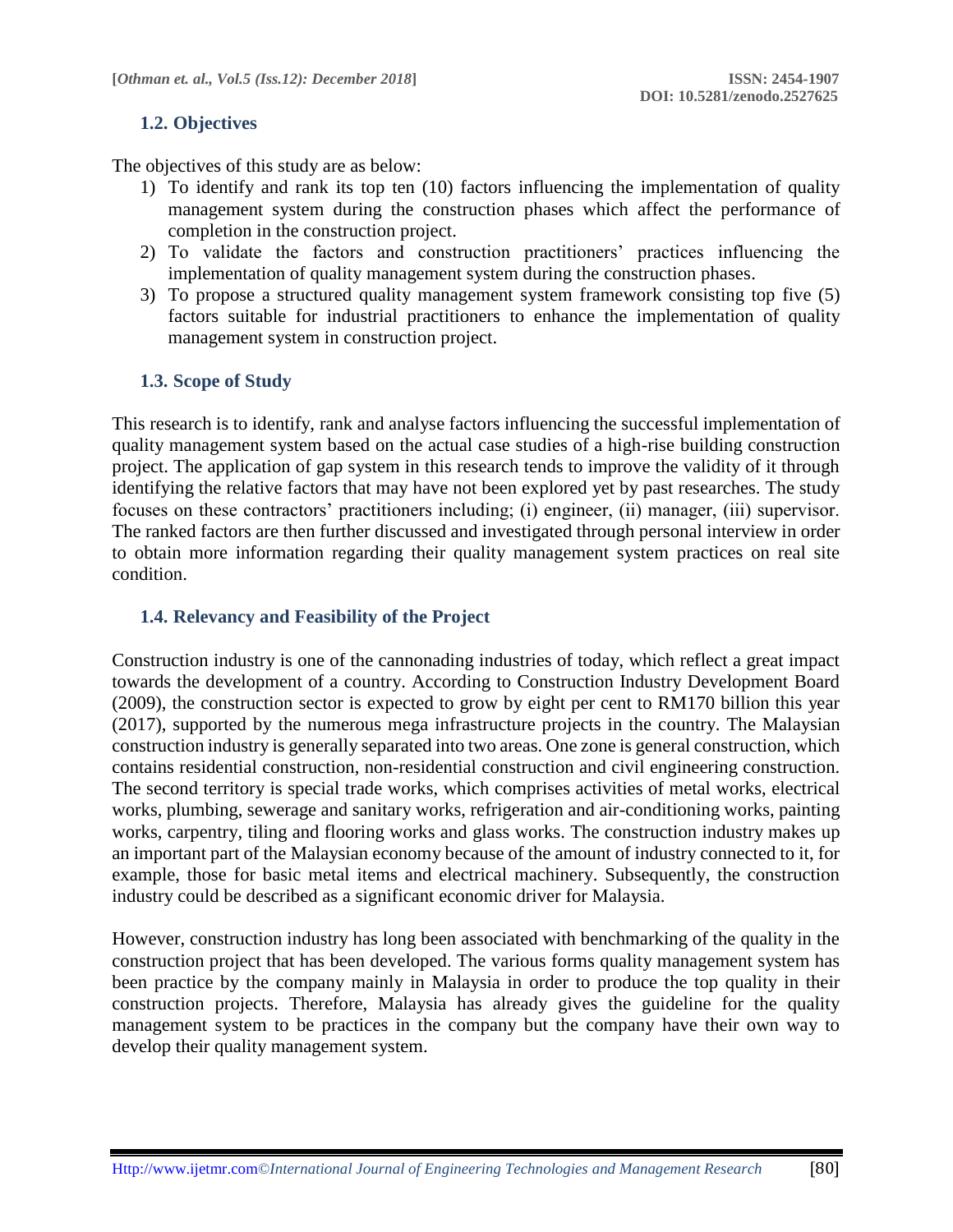## **1.2. Objectives**

The objectives of this study are as below:

- 1) To identify and rank its top ten (10) factors influencing the implementation of quality management system during the construction phases which affect the performance of completion in the construction project.
- 2) To validate the factors and construction practitioners' practices influencing the implementation of quality management system during the construction phases.
- 3) To propose a structured quality management system framework consisting top five (5) factors suitable for industrial practitioners to enhance the implementation of quality management system in construction project.

## **1.3. Scope of Study**

This research is to identify, rank and analyse factors influencing the successful implementation of quality management system based on the actual case studies of a high-rise building construction project. The application of gap system in this research tends to improve the validity of it through identifying the relative factors that may have not been explored yet by past researches. The study focuses on these contractors' practitioners including; (i) engineer, (ii) manager, (iii) supervisor. The ranked factors are then further discussed and investigated through personal interview in order to obtain more information regarding their quality management system practices on real site condition.

## **1.4. Relevancy and Feasibility of the Project**

Construction industry is one of the cannonading industries of today, which reflect a great impact towards the development of a country. According to Construction Industry Development Board (2009), the construction sector is expected to grow by eight per cent to RM170 billion this year (2017), supported by the numerous mega infrastructure projects in the country. The Malaysian construction industry is generally separated into two areas. One zone is general construction, which contains residential construction, non-residential construction and civil engineering construction. The second territory is special trade works, which comprises activities of metal works, electrical works, plumbing, sewerage and sanitary works, refrigeration and air-conditioning works, painting works, carpentry, tiling and flooring works and glass works. The construction industry makes up an important part of the Malaysian economy because of the amount of industry connected to it, for example, those for basic metal items and electrical machinery. Subsequently, the construction industry could be described as a significant economic driver for Malaysia.

However, construction industry has long been associated with benchmarking of the quality in the construction project that has been developed. The various forms quality management system has been practice by the company mainly in Malaysia in order to produce the top quality in their construction projects. Therefore, Malaysia has already gives the guideline for the quality management system to be practices in the company but the company have their own way to develop their quality management system.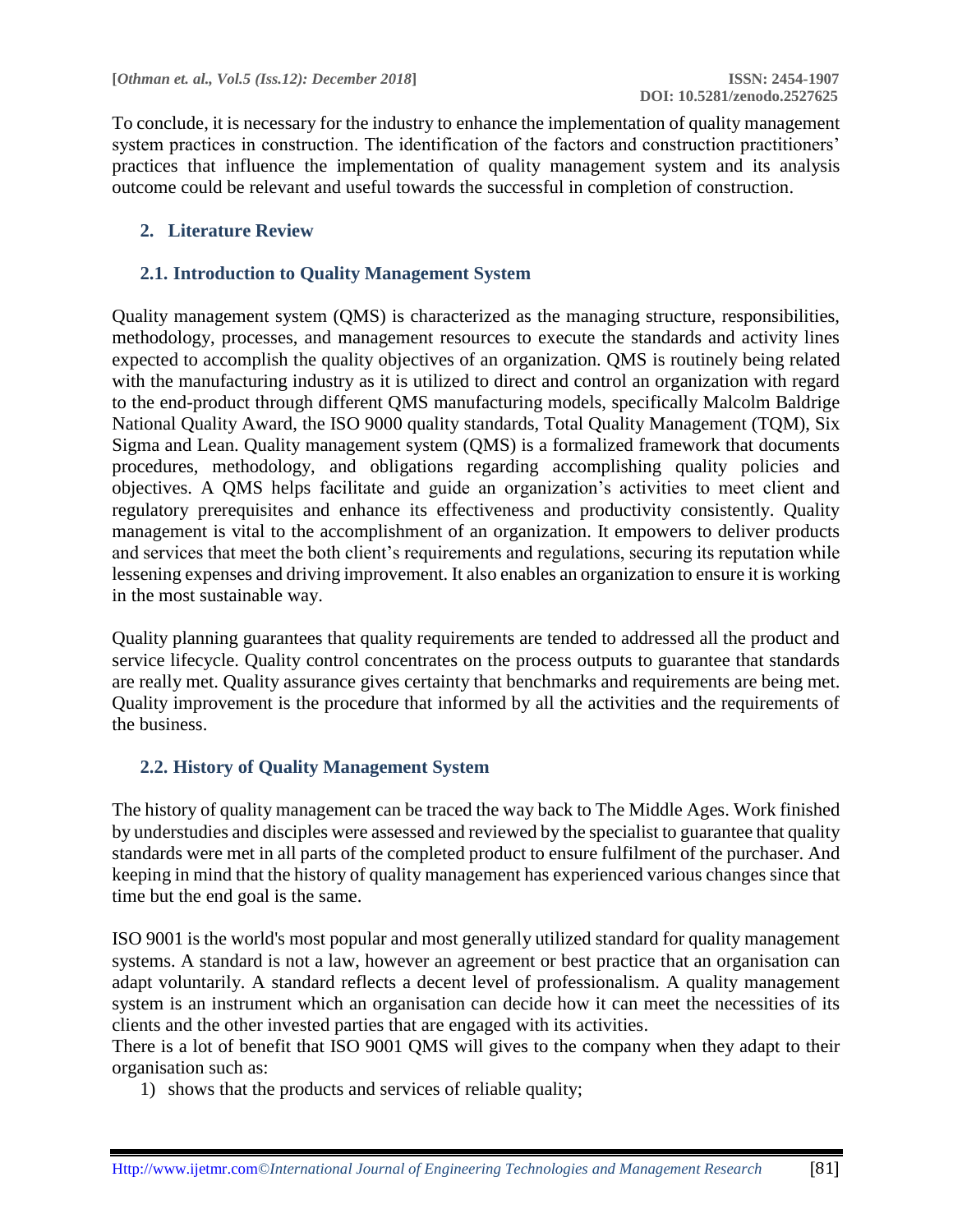To conclude, it is necessary for the industry to enhance the implementation of quality management system practices in construction. The identification of the factors and construction practitioners' practices that influence the implementation of quality management system and its analysis outcome could be relevant and useful towards the successful in completion of construction.

## **2. Literature Review**

### **2.1. Introduction to Quality Management System**

Quality management system (QMS) is characterized as the managing structure, responsibilities, methodology, processes, and management resources to execute the standards and activity lines expected to accomplish the quality objectives of an organization. QMS is routinely being related with the manufacturing industry as it is utilized to direct and control an organization with regard to the end-product through different QMS manufacturing models, specifically Malcolm Baldrige National Quality Award, the ISO 9000 quality standards, Total Quality Management (TQM), Six Sigma and Lean. Quality management system (QMS) is a formalized framework that documents procedures, methodology, and obligations regarding accomplishing quality policies and objectives. A QMS helps facilitate and guide an organization's activities to meet client and regulatory prerequisites and enhance its effectiveness and productivity consistently. Quality management is vital to the accomplishment of an organization. It empowers to deliver products and services that meet the both client's requirements and regulations, securing its reputation while lessening expenses and driving improvement. It also enables an organization to ensure it is working in the most sustainable way.

Quality planning guarantees that quality requirements are tended to addressed all the product and service lifecycle. Quality control concentrates on the process outputs to guarantee that standards are really met. Quality assurance gives certainty that benchmarks and requirements are being met. Quality improvement is the procedure that informed by all the activities and the requirements of the business.

## **2.2. History of Quality Management System**

The history of quality management can be traced the way back to The Middle Ages. Work finished by understudies and disciples were assessed and reviewed by the specialist to guarantee that quality standards were met in all parts of the completed product to ensure fulfilment of the purchaser. And keeping in mind that the history of quality management has experienced various changes since that time but the end goal is the same.

ISO 9001 is the world's most popular and most generally utilized standard for quality management systems. A standard is not a law, however an agreement or best practice that an organisation can adapt voluntarily. A standard reflects a decent level of professionalism. A quality management system is an instrument which an organisation can decide how it can meet the necessities of its clients and the other invested parties that are engaged with its activities.

There is a lot of benefit that ISO 9001 QMS will gives to the company when they adapt to their organisation such as:

1) shows that the products and services of reliable quality;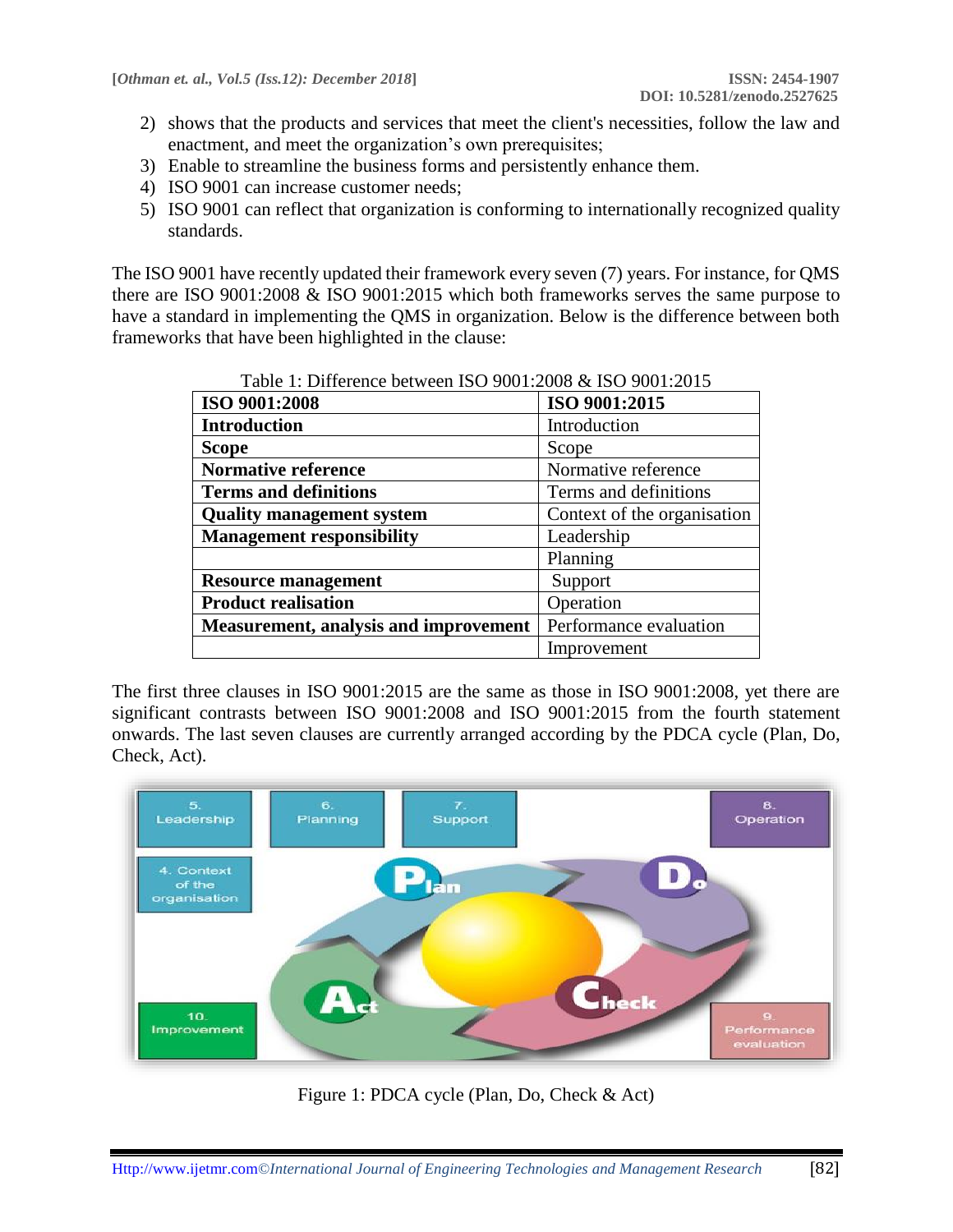- 2) shows that the products and services that meet the client's necessities, follow the law and enactment, and meet the organization's own prerequisites;
- 3) Enable to streamline the business forms and persistently enhance them.
- 4) ISO 9001 can increase customer needs;
- 5) ISO 9001 can reflect that organization is conforming to internationally recognized quality standards.

The ISO 9001 have recently updated their framework every seven (7) years. For instance, for QMS there are ISO 9001:2008 & ISO 9001:2015 which both frameworks serves the same purpose to have a standard in implementing the QMS in organization. Below is the difference between both frameworks that have been highlighted in the clause:

| ISO 9001:2008                                | ISO 9001:2015               |
|----------------------------------------------|-----------------------------|
| <b>Introduction</b>                          | Introduction                |
| <b>Scope</b>                                 | Scope                       |
| <b>Normative reference</b>                   | Normative reference         |
| <b>Terms and definitions</b>                 | Terms and definitions       |
| <b>Quality management system</b>             | Context of the organisation |
| <b>Management responsibility</b>             | Leadership                  |
|                                              | Planning                    |
| <b>Resource management</b>                   | Support                     |
| <b>Product realisation</b>                   | Operation                   |
| <b>Measurement, analysis and improvement</b> | Performance evaluation      |
|                                              | Improvement                 |

|  | Table 1: Difference between ISO 9001:2008 & ISO 9001:2015 |
|--|-----------------------------------------------------------|
|--|-----------------------------------------------------------|

The first three clauses in ISO 9001:2015 are the same as those in ISO 9001:2008, yet there are significant contrasts between ISO 9001:2008 and ISO 9001:2015 from the fourth statement onwards. The last seven clauses are currently arranged according by the PDCA cycle (Plan, Do, Check, Act).



Figure 1: PDCA cycle (Plan, Do, Check & Act)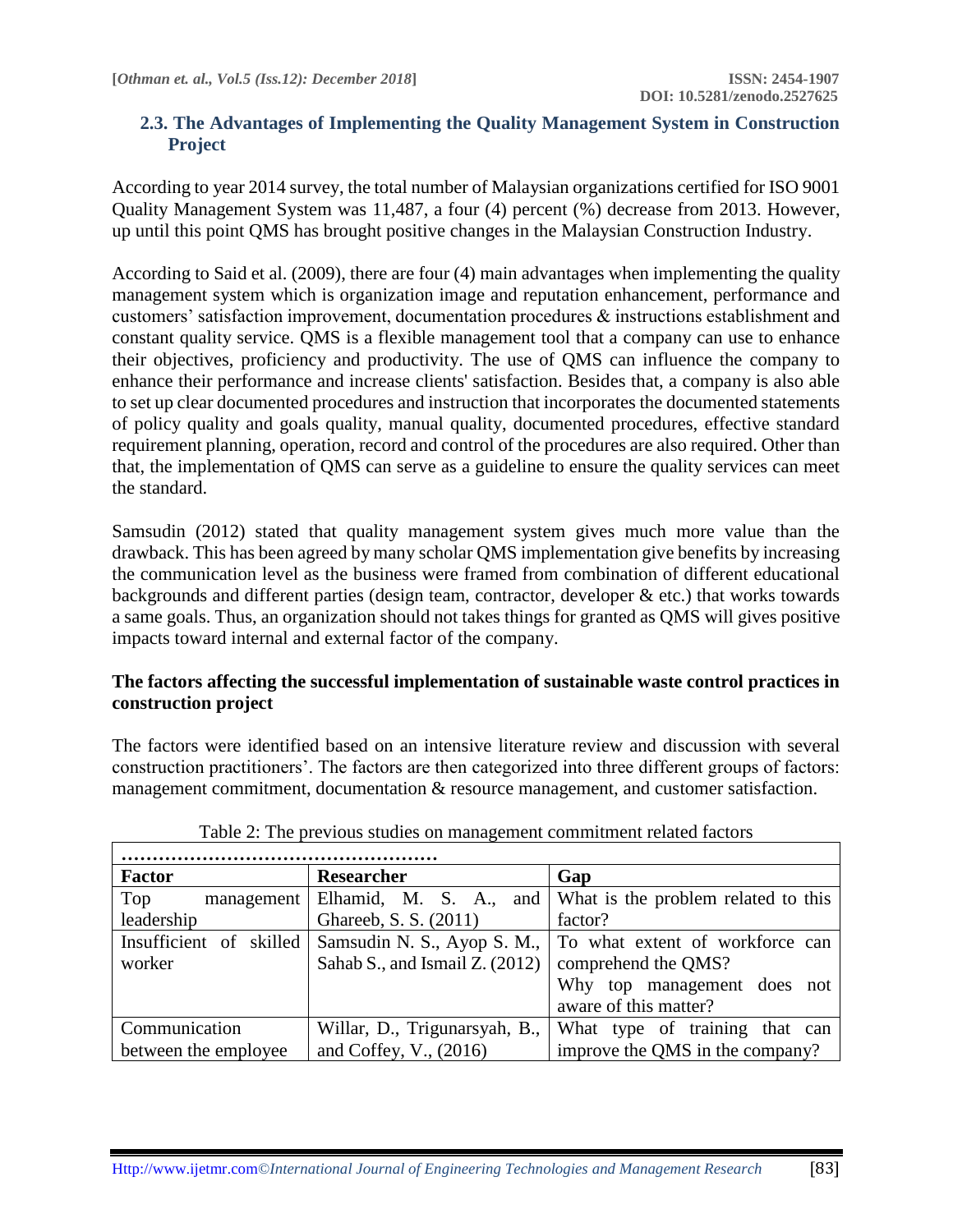## **2.3. The Advantages of Implementing the Quality Management System in Construction Project**

According to year 2014 survey, the total number of Malaysian organizations certified for ISO 9001 Quality Management System was 11,487, a four (4) percent (%) decrease from 2013. However, up until this point QMS has brought positive changes in the Malaysian Construction Industry.

According to Said et al. (2009), there are four (4) main advantages when implementing the quality management system which is organization image and reputation enhancement, performance and customers' satisfaction improvement, documentation procedures & instructions establishment and constant quality service. QMS is a flexible management tool that a company can use to enhance their objectives, proficiency and productivity. The use of QMS can influence the company to enhance their performance and increase clients' satisfaction. Besides that, a company is also able to set up clear documented procedures and instruction that incorporates the documented statements of policy quality and goals quality, manual quality, documented procedures, effective standard requirement planning, operation, record and control of the procedures are also required. Other than that, the implementation of QMS can serve as a guideline to ensure the quality services can meet the standard.

Samsudin (2012) stated that quality management system gives much more value than the drawback. This has been agreed by many scholar QMS implementation give benefits by increasing the communication level as the business were framed from combination of different educational backgrounds and different parties (design team, contractor, developer & etc.) that works towards a same goals. Thus, an organization should not takes things for granted as QMS will gives positive impacts toward internal and external factor of the company.

## **The factors affecting the successful implementation of sustainable waste control practices in construction project**

The factors were identified based on an intensive literature review and discussion with several construction practitioners'. The factors are then categorized into three different groups of factors: management commitment, documentation & resource management, and customer satisfaction.

| <b>Factor</b>           | Researcher                     | Gap                                     |
|-------------------------|--------------------------------|-----------------------------------------|
| Top<br>management       | Elhamid, M. S. A.,             | and What is the problem related to this |
| leadership              | Ghareeb, S. S. (2011)          | factor?                                 |
| Insufficient of skilled | Samsudin N. S., Ayop S. M.,    | To what extent of workforce can         |
| worker                  | Sahab S., and Ismail Z. (2012) | comprehend the QMS?                     |
|                         |                                | Why top management does<br>not          |
|                         |                                | aware of this matter?                   |
| Communication           | Willar, D., Trigunarsyah, B.,  | What type of training that can          |
| between the employee    | and Coffey, V., (2016)         | improve the QMS in the company?         |

|  | Table 2: The previous studies on management commitment related factors |  |
|--|------------------------------------------------------------------------|--|
|  |                                                                        |  |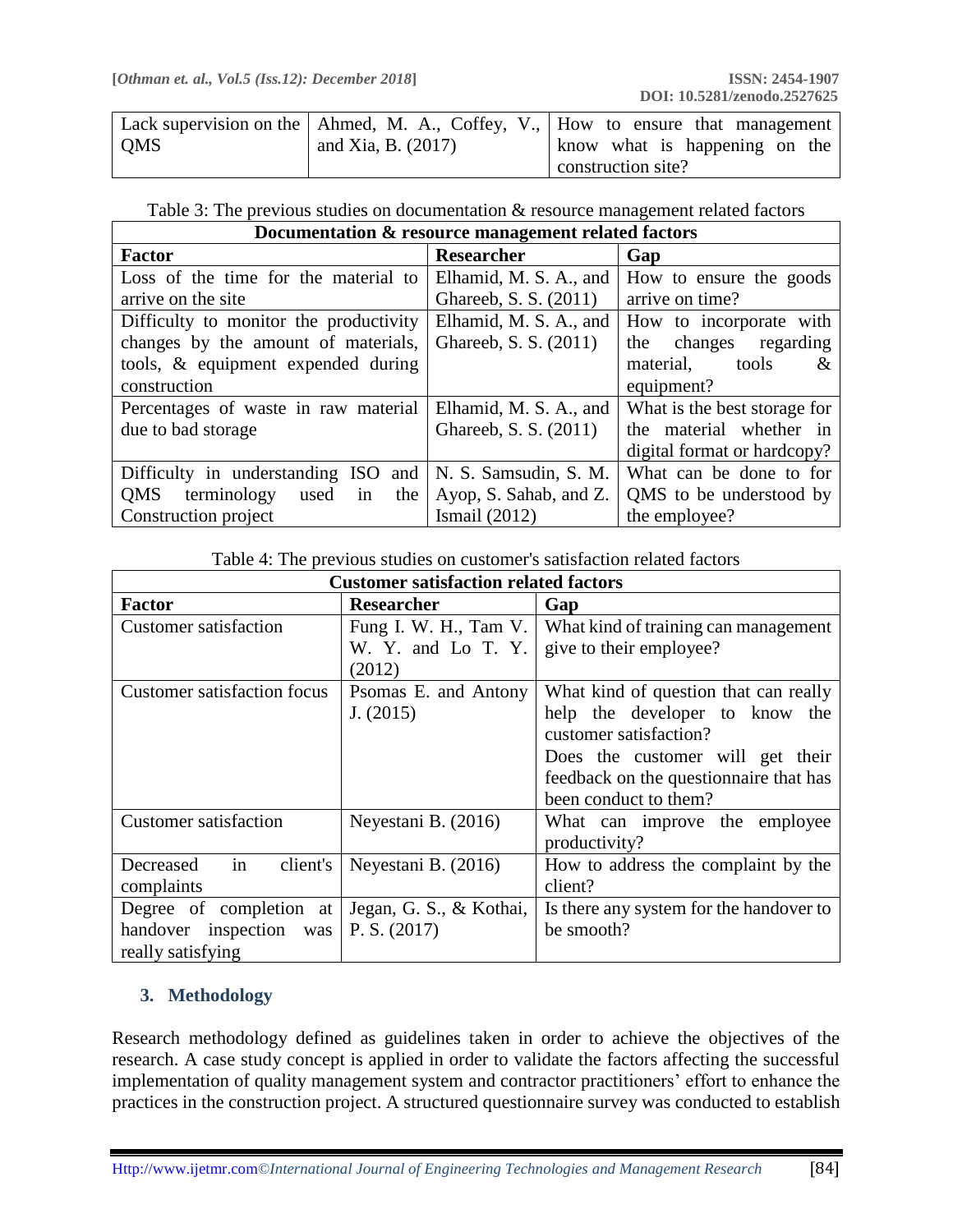|            |                      | Lack supervision on the   Ahmed, M. A., Coffey, V.,   How to ensure that management |
|------------|----------------------|-------------------------------------------------------------------------------------|
| <b>OMS</b> | and Xia, B. $(2017)$ | know what is happening on the                                                       |
|            |                      | construction site?                                                                  |

|  |  |  |  | Table 3: The previous studies on documentation & resource management related factors |
|--|--|--|--|--------------------------------------------------------------------------------------|
|--|--|--|--|--------------------------------------------------------------------------------------|

| Documentation & resource management related factors |                        |                              |  |
|-----------------------------------------------------|------------------------|------------------------------|--|
| <b>Factor</b>                                       | <b>Researcher</b>      | Gap                          |  |
| Loss of the time for the material to                | Elhamid, M. S. A., and | How to ensure the goods      |  |
| arrive on the site                                  | Ghareeb, S. S. (2011)  | arrive on time?              |  |
| Difficulty to monitor the productivity              | Elhamid, M. S. A., and | How to incorporate with      |  |
| changes by the amount of materials,                 | Ghareeb, S. S. (2011)  | changes regarding<br>the     |  |
| tools, & equipment expended during                  |                        | material,<br>tools<br>&      |  |
| construction                                        |                        | equipment?                   |  |
| Percentages of waste in raw material                | Elhamid, M. S. A., and | What is the best storage for |  |
| due to bad storage                                  | Ghareeb, S. S. (2011)  | the material whether in      |  |
|                                                     |                        | digital format or hardcopy?  |  |
| Difficulty in understanding ISO and                 | N. S. Samsudin, S. M.  | What can be done to for      |  |
| terminology<br><b>QMS</b><br>in<br>the<br>used      | Ayop, S. Sahab, and Z. | QMS to be understood by      |  |
| Construction project                                | Ismail $(2012)$        | the employee?                |  |

| <b>Customer satisfaction related factors</b> |                         |                                         |  |
|----------------------------------------------|-------------------------|-----------------------------------------|--|
| <b>Factor</b>                                | <b>Researcher</b>       | Gap                                     |  |
| <b>Customer satisfaction</b>                 | Fung I. W. H., Tam V.   | What kind of training can management    |  |
|                                              | W. Y. and Lo T. Y.      | give to their employee?                 |  |
|                                              | (2012)                  |                                         |  |
| <b>Customer satisfaction focus</b>           | Psomas E. and Antony    | What kind of question that can really   |  |
|                                              | J. (2015)               | help the developer to know the          |  |
|                                              |                         | customer satisfaction?                  |  |
|                                              |                         | Does the customer will get their        |  |
|                                              |                         | feedback on the question aire that has  |  |
|                                              |                         | been conduct to them?                   |  |
| <b>Customer satisfaction</b>                 | Neyestani B. (2016)     | What can improve the employee           |  |
|                                              |                         | productivity?                           |  |
| in<br>Decreased<br>client's                  | Neyestani B. (2016)     | How to address the complaint by the     |  |
| complaints                                   |                         | client?                                 |  |
| Degree of completion at                      | Jegan, G. S., & Kothai, | Is there any system for the handover to |  |
| handover inspection was                      | P.S. (2017)             | be smooth?                              |  |
| really satisfying                            |                         |                                         |  |

# **3. Methodology**

Research methodology defined as guidelines taken in order to achieve the objectives of the research. A case study concept is applied in order to validate the factors affecting the successful implementation of quality management system and contractor practitioners' effort to enhance the practices in the construction project. A structured questionnaire survey was conducted to establish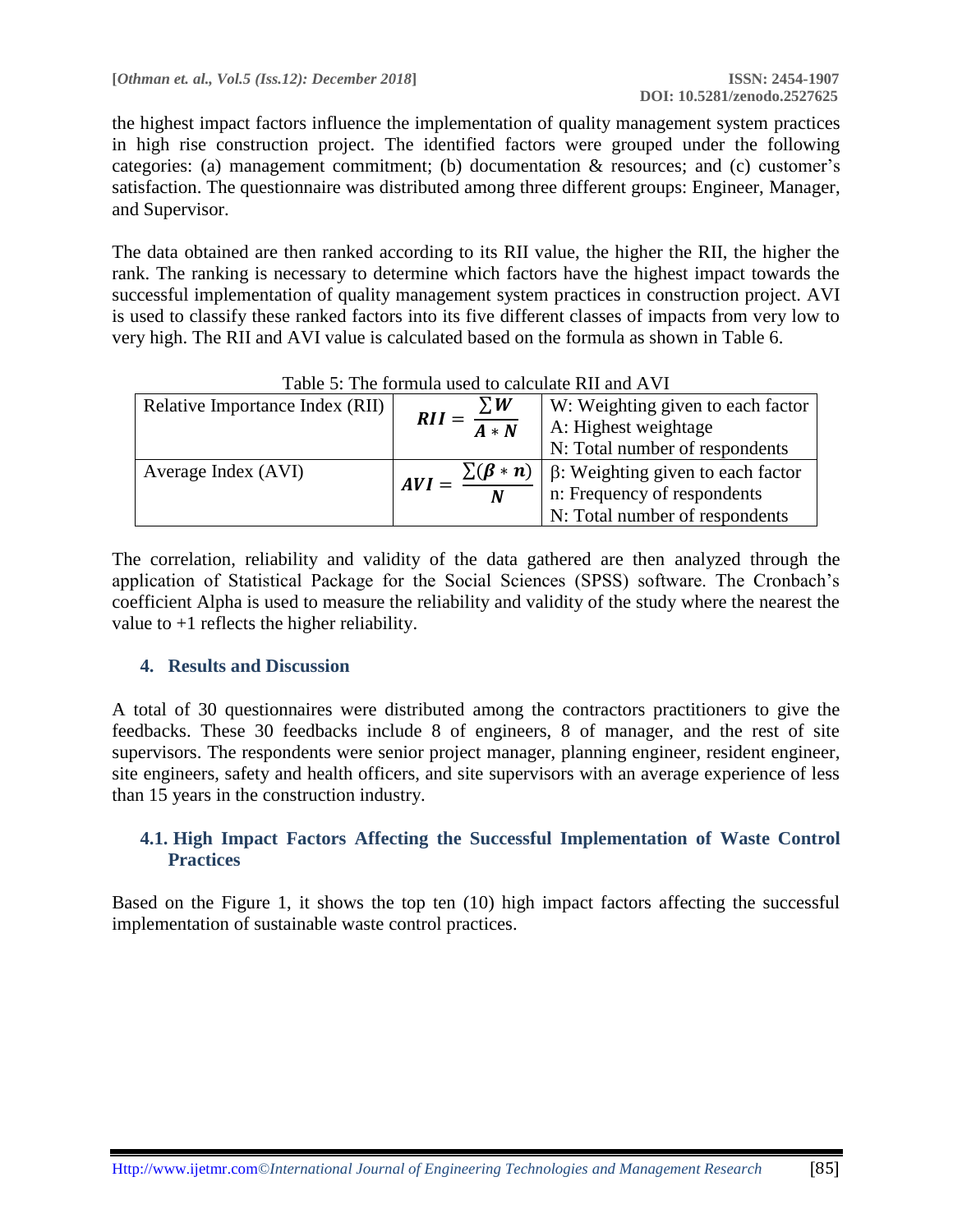the highest impact factors influence the implementation of quality management system practices in high rise construction project. The identified factors were grouped under the following categories: (a) management commitment; (b) documentation & resources; and (c) customer's satisfaction. The questionnaire was distributed among three different groups: Engineer, Manager, and Supervisor.

The data obtained are then ranked according to its RII value, the higher the RII, the higher the rank. The ranking is necessary to determine which factors have the highest impact towards the successful implementation of quality management system practices in construction project. AVI is used to classify these ranked factors into its five different classes of impacts from very low to very high. The RII and AVI value is calculated based on the formula as shown in Table 6.

| Tavie 9. The formula used to calculate KII and AVI |                              |                                          |
|----------------------------------------------------|------------------------------|------------------------------------------|
| Relative Importance Index (RII)                    | $\Sigma W$                   | W: Weighting given to each factor        |
|                                                    | $RII =$<br>$\overline{A*N}$  | A: Highest weightage                     |
|                                                    |                              | N: Total number of respondents           |
| Average Index (AVI)                                | $\sum(\beta * n)$<br>$AVI =$ | $\beta$ : Weighting given to each factor |
|                                                    | $\boldsymbol{N}$             | n: Frequency of respondents              |
|                                                    |                              | N: Total number of respondents           |

# Table 5: The formula used to calculate RII and AVI

The correlation, reliability and validity of the data gathered are then analyzed through the application of Statistical Package for the Social Sciences (SPSS) software. The Cronbach's coefficient Alpha is used to measure the reliability and validity of the study where the nearest the value to +1 reflects the higher reliability.

## **4. Results and Discussion**

A total of 30 questionnaires were distributed among the contractors practitioners to give the feedbacks. These 30 feedbacks include 8 of engineers, 8 of manager, and the rest of site supervisors. The respondents were senior project manager, planning engineer, resident engineer, site engineers, safety and health officers, and site supervisors with an average experience of less than 15 years in the construction industry.

## **4.1. High Impact Factors Affecting the Successful Implementation of Waste Control Practices**

Based on the Figure 1, it shows the top ten (10) high impact factors affecting the successful implementation of sustainable waste control practices.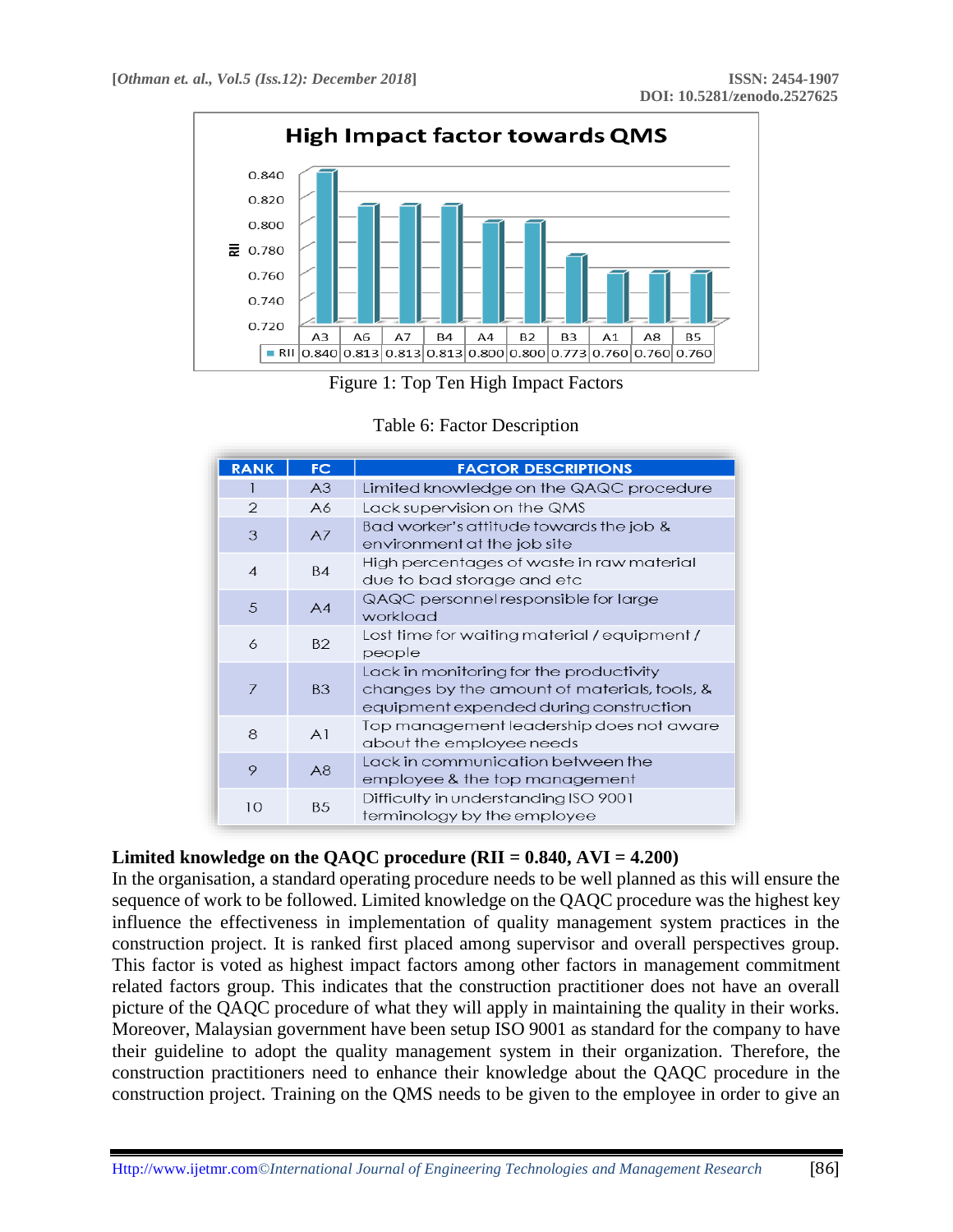



| <b>RANK</b>    | FC.            | <b>FACTOR DESCRIPTIONS</b>                                                                                                        |
|----------------|----------------|-----------------------------------------------------------------------------------------------------------------------------------|
|                | A <sub>3</sub> | Limited knowledge on the QAQC procedure                                                                                           |
| $\mathcal{P}$  | A6             | Lack supervision on the QMS                                                                                                       |
| 3              | A7             | Bad worker's attitude towards the job &<br>environment at the job site                                                            |
| $\overline{4}$ | <b>B4</b>      | High percentages of waste in raw material<br>due to bad storage and etc                                                           |
| 5              | A4             | QAQC personnel responsible for large<br>workload                                                                                  |
| 6              | <b>B2</b>      | Lost time for waiting material / equipment /<br>people                                                                            |
| 7              | <b>B3</b>      | Lack in monitoring for the productivity<br>changes by the amount of materials, tools, &<br>equipment expended during construction |
| 8              | A <sup>1</sup> | Top management leadership does not aware<br>about the employee needs                                                              |
| 9              | A8             | Lack in communication between the<br>employee & the top management                                                                |
| 10             | <b>B5</b>      | Difficulty in understanding ISO 9001<br>terminology by the employee                                                               |

# **Limited knowledge on the QAQC procedure (RII = 0.840, AVI = 4.200)**

In the organisation, a standard operating procedure needs to be well planned as this will ensure the sequence of work to be followed. Limited knowledge on the QAQC procedure was the highest key influence the effectiveness in implementation of quality management system practices in the construction project. It is ranked first placed among supervisor and overall perspectives group. This factor is voted as highest impact factors among other factors in management commitment related factors group. This indicates that the construction practitioner does not have an overall picture of the QAQC procedure of what they will apply in maintaining the quality in their works. Moreover, Malaysian government have been setup ISO 9001 as standard for the company to have their guideline to adopt the quality management system in their organization. Therefore, the construction practitioners need to enhance their knowledge about the QAQC procedure in the construction project. Training on the QMS needs to be given to the employee in order to give an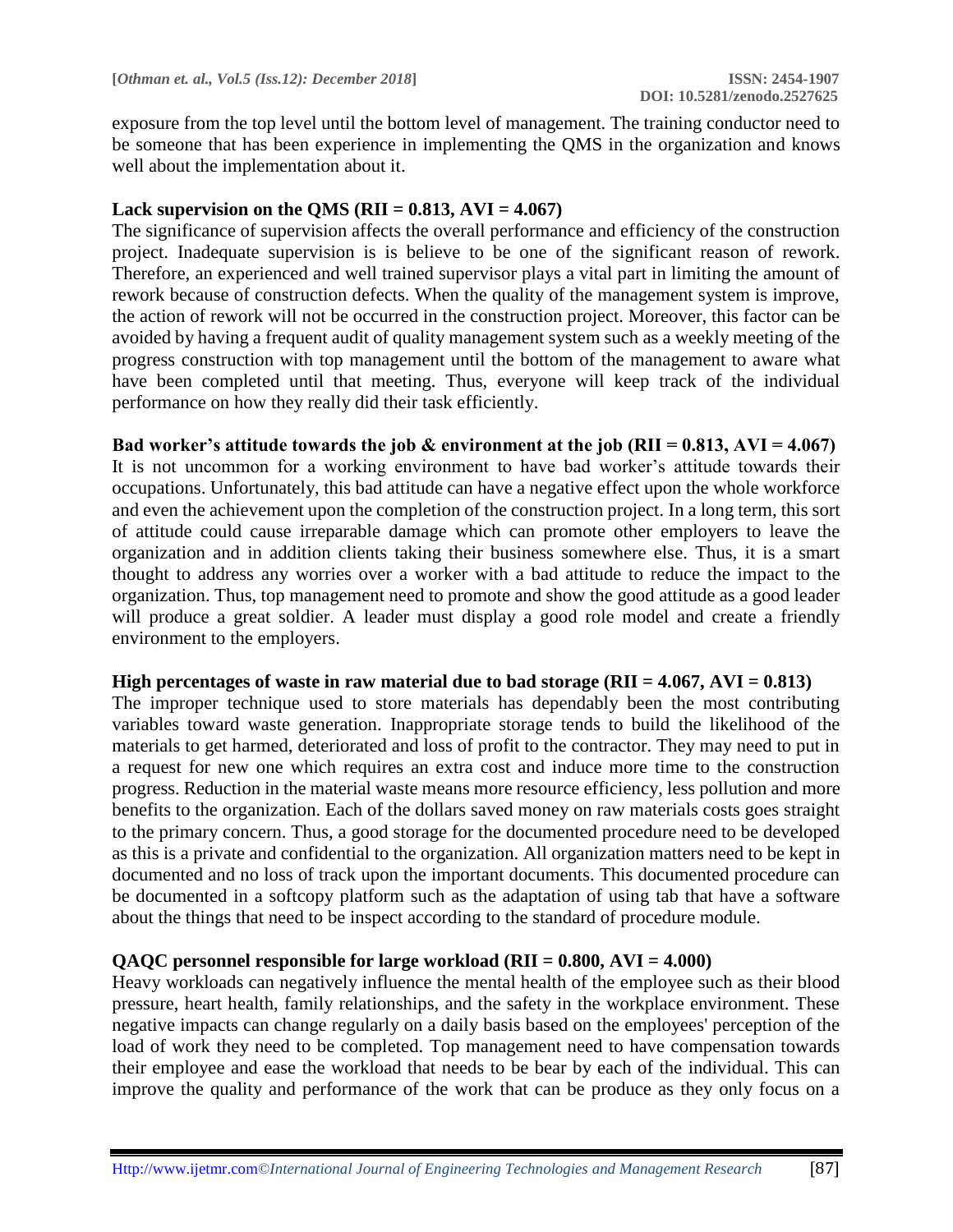exposure from the top level until the bottom level of management. The training conductor need to be someone that has been experience in implementing the QMS in the organization and knows well about the implementation about it.

#### **Lack supervision on the QMS (RII = 0.813, AVI = 4.067)**

The significance of supervision affects the overall performance and efficiency of the construction project. Inadequate supervision is is believe to be one of the significant reason of rework. Therefore, an experienced and well trained supervisor plays a vital part in limiting the amount of rework because of construction defects. When the quality of the management system is improve, the action of rework will not be occurred in the construction project. Moreover, this factor can be avoided by having a frequent audit of quality management system such as a weekly meeting of the progress construction with top management until the bottom of the management to aware what have been completed until that meeting. Thus, everyone will keep track of the individual performance on how they really did their task efficiently.

Bad worker's attitude towards the job  $\&$  environment at the job (RII = 0.813, AVI = 4.067) It is not uncommon for a working environment to have bad worker's attitude towards their occupations. Unfortunately, this bad attitude can have a negative effect upon the whole workforce and even the achievement upon the completion of the construction project. In a long term, this sort of attitude could cause irreparable damage which can promote other employers to leave the organization and in addition clients taking their business somewhere else. Thus, it is a smart thought to address any worries over a worker with a bad attitude to reduce the impact to the organization. Thus, top management need to promote and show the good attitude as a good leader will produce a great soldier. A leader must display a good role model and create a friendly environment to the employers.

#### **High percentages of waste in raw material due to bad storage (RII = 4.067, AVI = 0.813)**

The improper technique used to store materials has dependably been the most contributing variables toward waste generation. Inappropriate storage tends to build the likelihood of the materials to get harmed, deteriorated and loss of profit to the contractor. They may need to put in a request for new one which requires an extra cost and induce more time to the construction progress. Reduction in the material waste means more resource efficiency, less pollution and more benefits to the organization. Each of the dollars saved money on raw materials costs goes straight to the primary concern. Thus, a good storage for the documented procedure need to be developed as this is a private and confidential to the organization. All organization matters need to be kept in documented and no loss of track upon the important documents. This documented procedure can be documented in a softcopy platform such as the adaptation of using tab that have a software about the things that need to be inspect according to the standard of procedure module.

### **QAQC personnel responsible for large workload (RII = 0.800, AVI = 4.000)**

Heavy workloads can negatively influence the mental health of the employee such as their blood pressure, heart health, family relationships, and the safety in the workplace environment. These negative impacts can change regularly on a daily basis based on the employees' perception of the load of work they need to be completed. Top management need to have compensation towards their employee and ease the workload that needs to be bear by each of the individual. This can improve the quality and performance of the work that can be produce as they only focus on a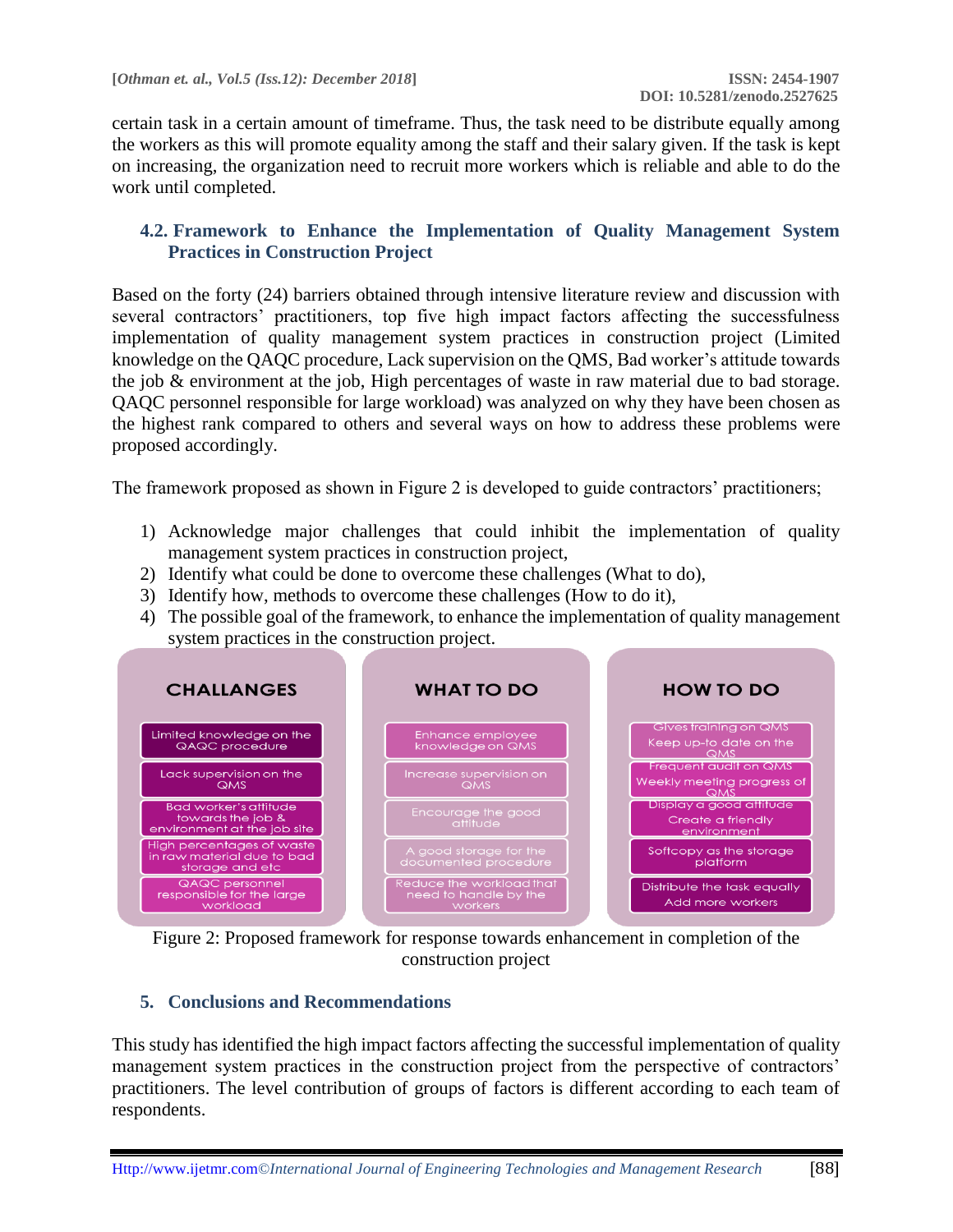certain task in a certain amount of timeframe. Thus, the task need to be distribute equally among the workers as this will promote equality among the staff and their salary given. If the task is kept on increasing, the organization need to recruit more workers which is reliable and able to do the work until completed.

### **4.2. Framework to Enhance the Implementation of Quality Management System Practices in Construction Project**

Based on the forty (24) barriers obtained through intensive literature review and discussion with several contractors' practitioners, top five high impact factors affecting the successfulness implementation of quality management system practices in construction project (Limited knowledge on the QAQC procedure, Lack supervision on the QMS, Bad worker's attitude towards the job & environment at the job, High percentages of waste in raw material due to bad storage. QAQC personnel responsible for large workload) was analyzed on why they have been chosen as the highest rank compared to others and several ways on how to address these problems were proposed accordingly.

The framework proposed as shown in Figure 2 is developed to guide contractors' practitioners;

- 1) Acknowledge major challenges that could inhibit the implementation of quality management system practices in construction project,
- 2) Identify what could be done to overcome these challenges (What to do),
- 3) Identify how, methods to overcome these challenges (How to do it),
- 4) The possible goal of the framework, to enhance the implementation of quality management system practices in the construction project.



Figure 2: Proposed framework for response towards enhancement in completion of the construction project

## **5. Conclusions and Recommendations**

This study has identified the high impact factors affecting the successful implementation of quality management system practices in the construction project from the perspective of contractors' practitioners. The level contribution of groups of factors is different according to each team of respondents.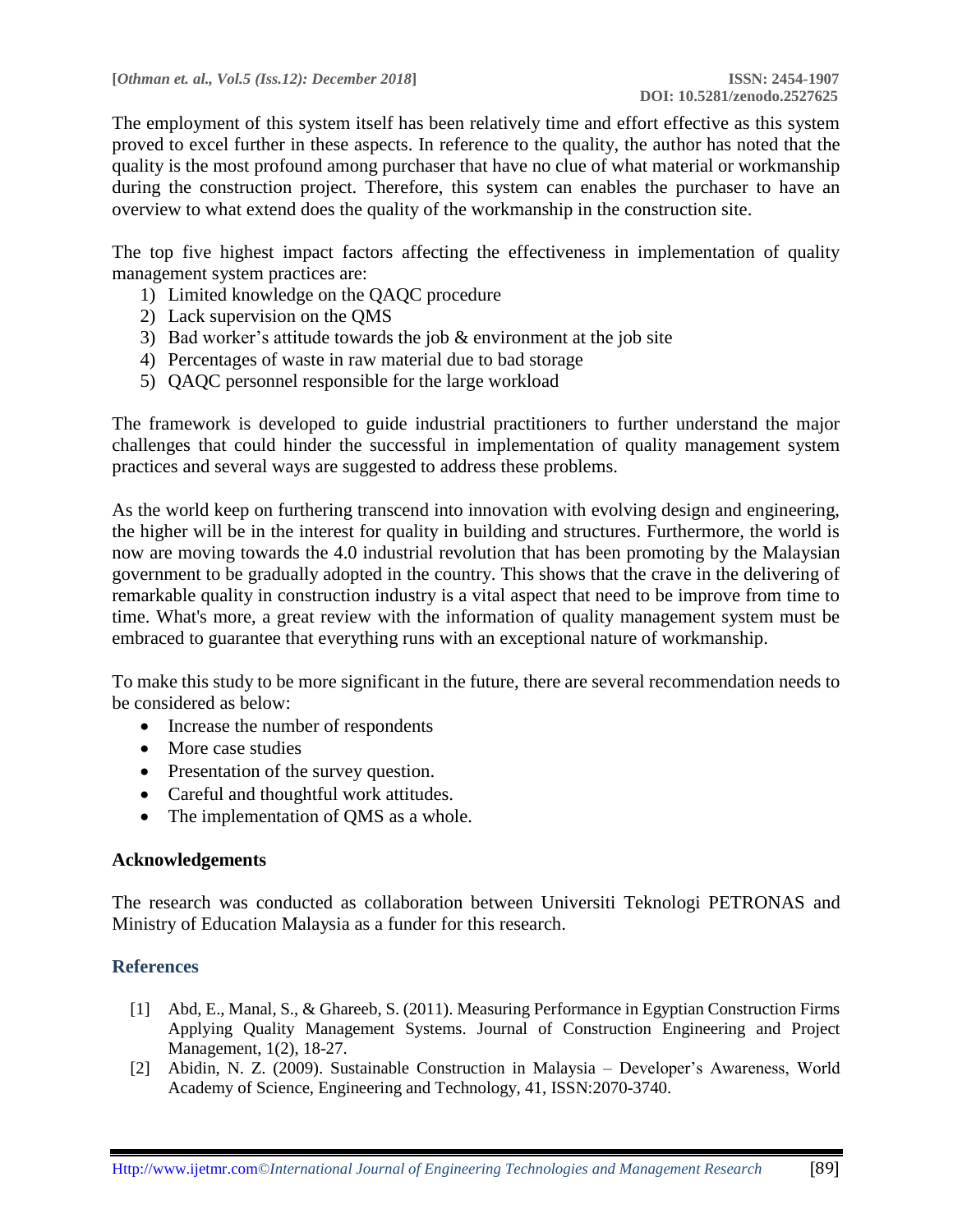The employment of this system itself has been relatively time and effort effective as this system proved to excel further in these aspects. In reference to the quality, the author has noted that the quality is the most profound among purchaser that have no clue of what material or workmanship during the construction project. Therefore, this system can enables the purchaser to have an overview to what extend does the quality of the workmanship in the construction site.

The top five highest impact factors affecting the effectiveness in implementation of quality management system practices are:

- 1) Limited knowledge on the QAQC procedure
- 2) Lack supervision on the QMS
- 3) Bad worker's attitude towards the job & environment at the job site
- 4) Percentages of waste in raw material due to bad storage
- 5) QAQC personnel responsible for the large workload

The framework is developed to guide industrial practitioners to further understand the major challenges that could hinder the successful in implementation of quality management system practices and several ways are suggested to address these problems.

As the world keep on furthering transcend into innovation with evolving design and engineering, the higher will be in the interest for quality in building and structures. Furthermore, the world is now are moving towards the 4.0 industrial revolution that has been promoting by the Malaysian government to be gradually adopted in the country. This shows that the crave in the delivering of remarkable quality in construction industry is a vital aspect that need to be improve from time to time. What's more, a great review with the information of quality management system must be embraced to guarantee that everything runs with an exceptional nature of workmanship.

To make this study to be more significant in the future, there are several recommendation needs to be considered as below:

- Increase the number of respondents
- More case studies
- Presentation of the survey question.
- Careful and thoughtful work attitudes.
- The implementation of OMS as a whole.

### **Acknowledgements**

The research was conducted as collaboration between Universiti Teknologi PETRONAS and Ministry of Education Malaysia as a funder for this research.

## **References**

- [1] Abd, E., Manal, S., & Ghareeb, S. (2011). Measuring Performance in Egyptian Construction Firms Applying Quality Management Systems. Journal of Construction Engineering and Project Management, 1(2), 18-27.
- [2] Abidin, N. Z. (2009). Sustainable Construction in Malaysia Developer's Awareness, World Academy of Science, Engineering and Technology, 41, ISSN:2070-3740.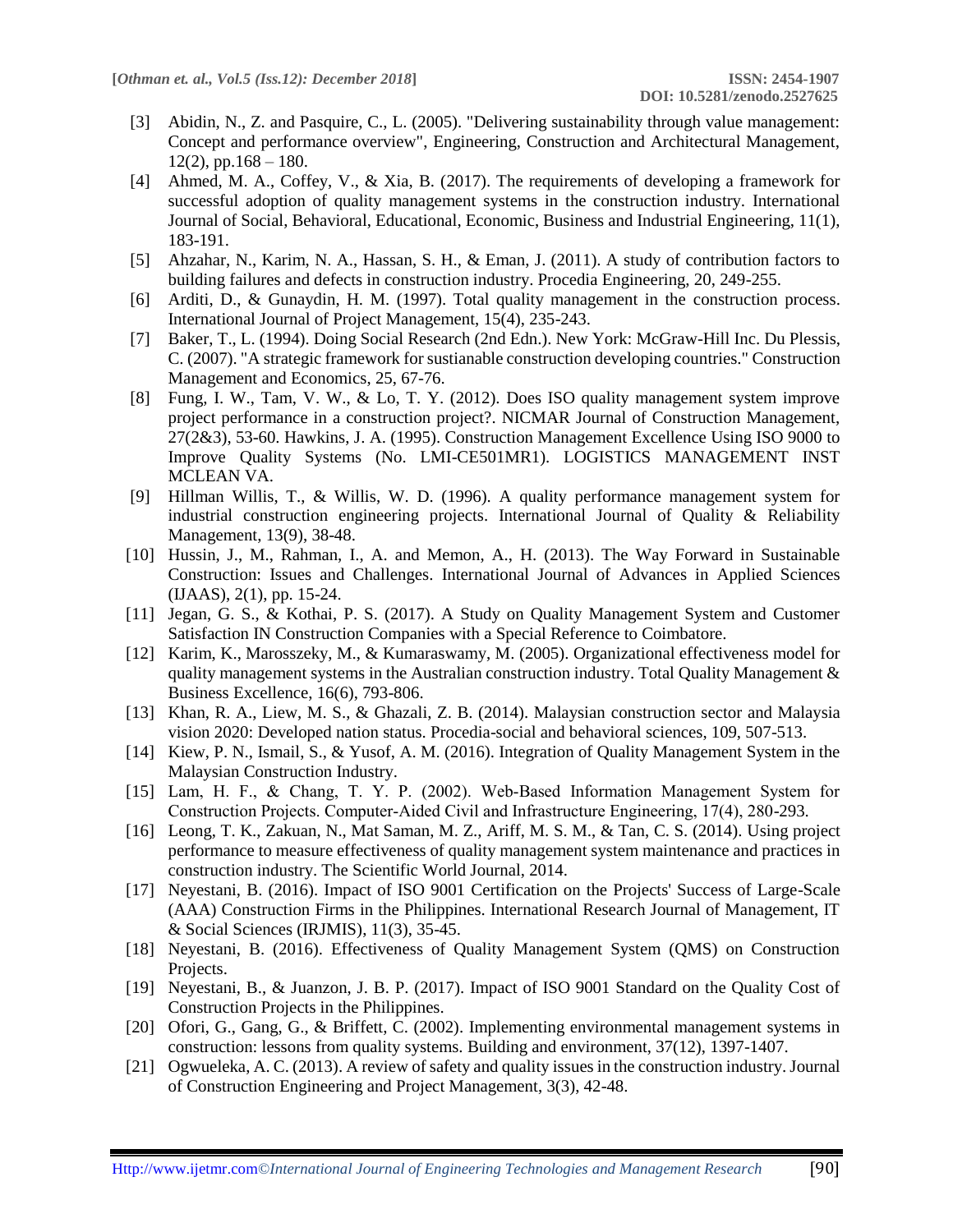- [3] Abidin, N., Z. and Pasquire, C., L. (2005). "Delivering sustainability through value management: Concept and performance overview", Engineering, Construction and Architectural Management,  $12(2)$ , pp.168 – 180.
- [4] Ahmed, M. A., Coffey, V., & Xia, B. (2017). The requirements of developing a framework for successful adoption of quality management systems in the construction industry. International Journal of Social, Behavioral, Educational, Economic, Business and Industrial Engineering, 11(1), 183-191.
- [5] Ahzahar, N., Karim, N. A., Hassan, S. H., & Eman, J. (2011). A study of contribution factors to building failures and defects in construction industry. Procedia Engineering, 20, 249-255.
- [6] Arditi, D., & Gunaydin, H. M. (1997). Total quality management in the construction process. International Journal of Project Management, 15(4), 235-243.
- [7] Baker, T., L. (1994). Doing Social Research (2nd Edn.). New York: McGraw-Hill Inc. Du Plessis, C. (2007). "A strategic framework for sustianable construction developing countries." Construction Management and Economics, 25, 67-76.
- [8] Fung, I. W., Tam, V. W., & Lo, T. Y. (2012). Does ISO quality management system improve project performance in a construction project?. NICMAR Journal of Construction Management, 27(2&3), 53-60. Hawkins, J. A. (1995). Construction Management Excellence Using ISO 9000 to Improve Quality Systems (No. LMI-CE501MR1). LOGISTICS MANAGEMENT INST MCLEAN VA.
- [9] Hillman Willis, T., & Willis, W. D. (1996). A quality performance management system for industrial construction engineering projects. International Journal of Quality & Reliability Management, 13(9), 38-48.
- [10] Hussin, J., M., Rahman, I., A. and Memon, A., H. (2013). The Way Forward in Sustainable Construction: Issues and Challenges. International Journal of Advances in Applied Sciences (IJAAS), 2(1), pp. 15-24.
- [11] Jegan, G. S., & Kothai, P. S. (2017). A Study on Quality Management System and Customer Satisfaction IN Construction Companies with a Special Reference to Coimbatore.
- [12] Karim, K., Marosszeky, M., & Kumaraswamy, M. (2005). Organizational effectiveness model for quality management systems in the Australian construction industry. Total Quality Management  $\&$ Business Excellence, 16(6), 793-806.
- [13] Khan, R. A., Liew, M. S., & Ghazali, Z. B. (2014). Malaysian construction sector and Malaysia vision 2020: Developed nation status. Procedia-social and behavioral sciences, 109, 507-513.
- [14] Kiew, P. N., Ismail, S., & Yusof, A. M. (2016). Integration of Quality Management System in the Malaysian Construction Industry.
- [15] Lam, H. F., & Chang, T. Y. P. (2002). Web‐Based Information Management System for Construction Projects. Computer‐Aided Civil and Infrastructure Engineering, 17(4), 280-293.
- [16] Leong, T. K., Zakuan, N., Mat Saman, M. Z., Ariff, M. S. M., & Tan, C. S. (2014). Using project performance to measure effectiveness of quality management system maintenance and practices in construction industry. The Scientific World Journal, 2014.
- [17] Neyestani, B. (2016). Impact of ISO 9001 Certification on the Projects' Success of Large-Scale (AAA) Construction Firms in the Philippines. International Research Journal of Management, IT & Social Sciences (IRJMIS), 11(3), 35-45.
- [18] Neyestani, B. (2016). Effectiveness of Quality Management System (QMS) on Construction Projects.
- [19] Neyestani, B., & Juanzon, J. B. P. (2017). Impact of ISO 9001 Standard on the Quality Cost of Construction Projects in the Philippines.
- [20] Ofori, G., Gang, G., & Briffett, C. (2002). Implementing environmental management systems in construction: lessons from quality systems. Building and environment, 37(12), 1397-1407.
- [21] Ogwueleka, A. C. (2013). A review of safety and quality issues in the construction industry. Journal of Construction Engineering and Project Management, 3(3), 42-48.